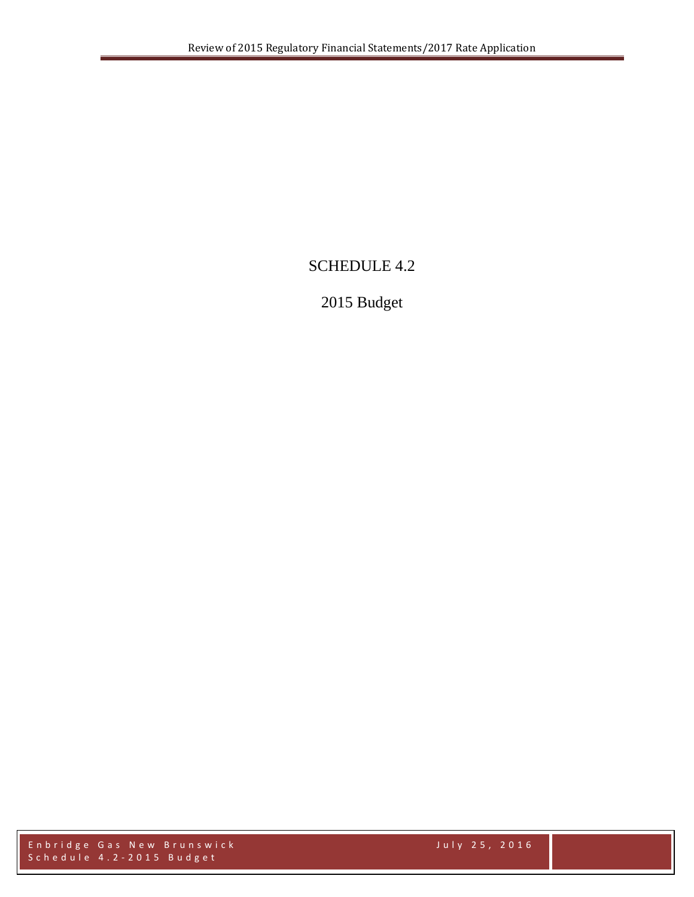# SCHEDULE 4.2

# 2015 Budget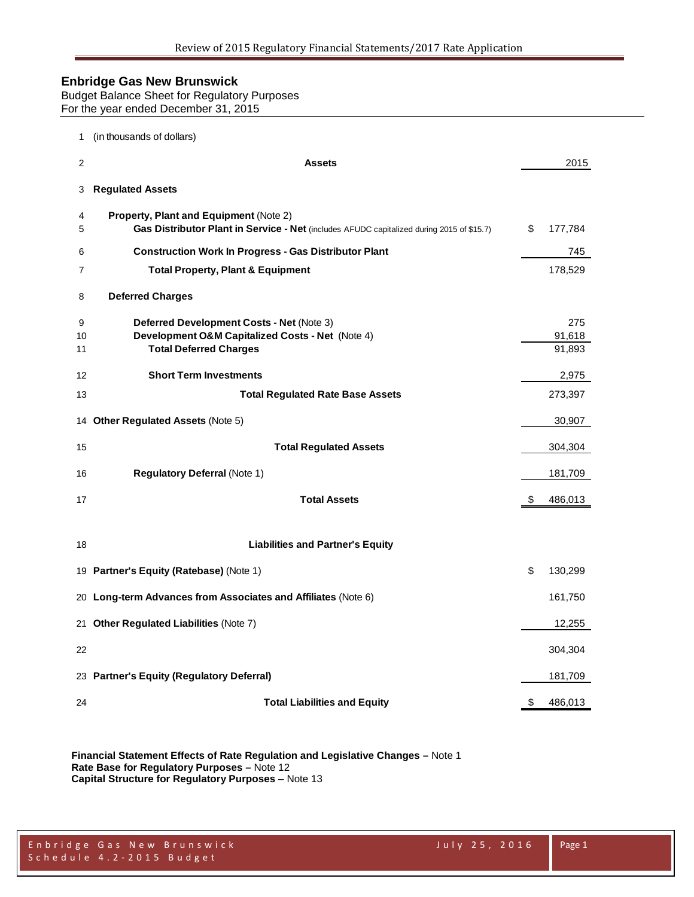Budget Balance Sheet for Regulatory Purposes For the year ended December 31, 2015

| 1             | (in thousands of dollars)                                                                                                                  |                         |
|---------------|--------------------------------------------------------------------------------------------------------------------------------------------|-------------------------|
| 2             | <b>Assets</b>                                                                                                                              | 2015                    |
| 3             | <b>Regulated Assets</b>                                                                                                                    |                         |
| 4<br>5        | <b>Property, Plant and Equipment (Note 2)</b><br>Gas Distributor Plant in Service - Net (includes AFUDC capitalized during 2015 of \$15.7) | \$<br>177,784           |
| 6             | <b>Construction Work In Progress - Gas Distributor Plant</b>                                                                               | 745                     |
| 7             | <b>Total Property, Plant &amp; Equipment</b>                                                                                               | 178,529                 |
| 8             | <b>Deferred Charges</b>                                                                                                                    |                         |
| 9<br>10<br>11 | Deferred Development Costs - Net (Note 3)<br>Development O&M Capitalized Costs - Net (Note 4)<br><b>Total Deferred Charges</b>             | 275<br>91,618<br>91,893 |
| 12            | <b>Short Term Investments</b>                                                                                                              | 2,975                   |
| 13            | <b>Total Regulated Rate Base Assets</b>                                                                                                    | 273,397                 |
|               | 14 Other Regulated Assets (Note 5)                                                                                                         | 30,907                  |
| 15            | <b>Total Regulated Assets</b>                                                                                                              | 304,304                 |
| 16            | <b>Regulatory Deferral (Note 1)</b>                                                                                                        | 181,709                 |
| 17            | <b>Total Assets</b>                                                                                                                        | \$<br>486,013           |
| 18            | <b>Liabilities and Partner's Equity</b>                                                                                                    |                         |
|               | 19 Partner's Equity (Ratebase) (Note 1)                                                                                                    | \$<br>130,299           |
|               | 20 Long-term Advances from Associates and Affiliates (Note 6)                                                                              | 161,750                 |
|               | 21 Other Regulated Liabilities (Note 7)                                                                                                    | 12,255                  |
| 22            |                                                                                                                                            | 304,304                 |
|               | 23 Partner's Equity (Regulatory Deferral)                                                                                                  | 181,709                 |
| 24            | <b>Total Liabilities and Equity</b>                                                                                                        | \$<br>486,013           |

**Financial Statement Effects of Rate Regulation and Legislative Changes –** Note 1 **Rate Base for Regulatory Purposes –** Note 12 **Capital Structure for Regulatory Purposes** – Note 13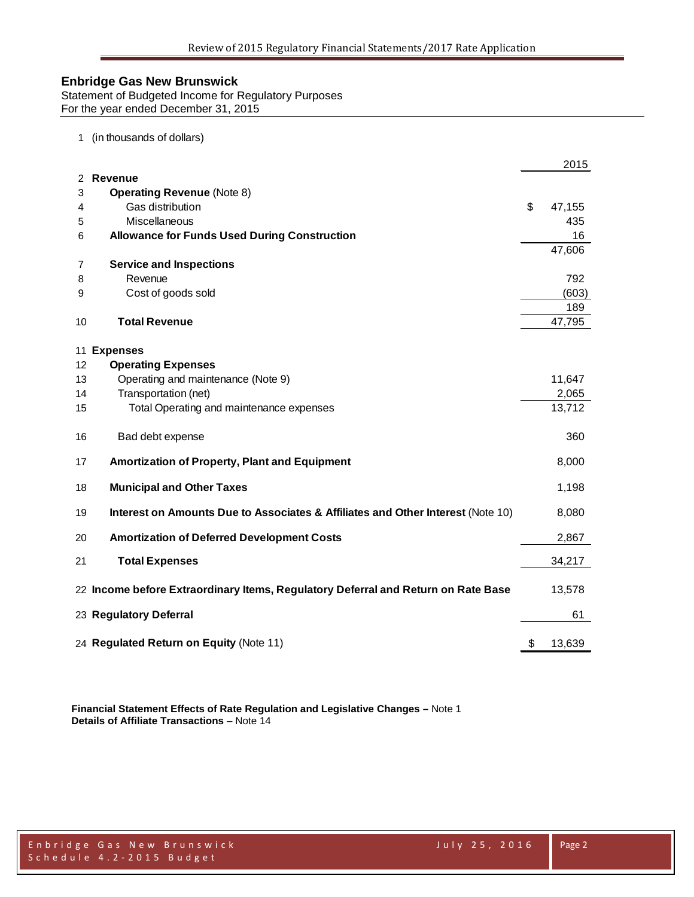Statement of Budgeted Income for Regulatory Purposes For the year ended December 31, 2015

#### 1 (in thousands of dollars)

|    |                                                                                   | 2015         |
|----|-----------------------------------------------------------------------------------|--------------|
| 2  | Revenue                                                                           |              |
| 3  | <b>Operating Revenue (Note 8)</b>                                                 |              |
| 4  | Gas distribution                                                                  | \$<br>47,155 |
| 5  | Miscellaneous                                                                     | 435          |
| 6  | <b>Allowance for Funds Used During Construction</b>                               | 16           |
|    |                                                                                   | 47,606       |
| 7  | <b>Service and Inspections</b>                                                    |              |
| 8  | Revenue                                                                           | 792          |
| 9  | Cost of goods sold                                                                | (603)        |
|    |                                                                                   | 189          |
| 10 | <b>Total Revenue</b>                                                              | 47,795       |
|    |                                                                                   |              |
| 11 | <b>Expenses</b>                                                                   |              |
| 12 | <b>Operating Expenses</b>                                                         |              |
| 13 | Operating and maintenance (Note 9)                                                | 11,647       |
| 14 | Transportation (net)                                                              | 2,065        |
| 15 | Total Operating and maintenance expenses                                          | 13,712       |
| 16 | Bad debt expense                                                                  | 360          |
| 17 | Amortization of Property, Plant and Equipment                                     | 8,000        |
| 18 | <b>Municipal and Other Taxes</b>                                                  | 1,198        |
| 19 | Interest on Amounts Due to Associates & Affiliates and Other Interest (Note 10)   | 8,080        |
| 20 | <b>Amortization of Deferred Development Costs</b>                                 | 2,867        |
| 21 | <b>Total Expenses</b>                                                             | 34,217       |
|    | 22 Income before Extraordinary Items, Regulatory Deferral and Return on Rate Base | 13,578       |
|    | 23 Regulatory Deferral                                                            | 61           |
|    | 24 Regulated Return on Equity (Note 11)                                           | \$<br>13,639 |

**Financial Statement Effects of Rate Regulation and Legislative Changes –** Note 1 **Details of Affiliate Transactions** – Note 14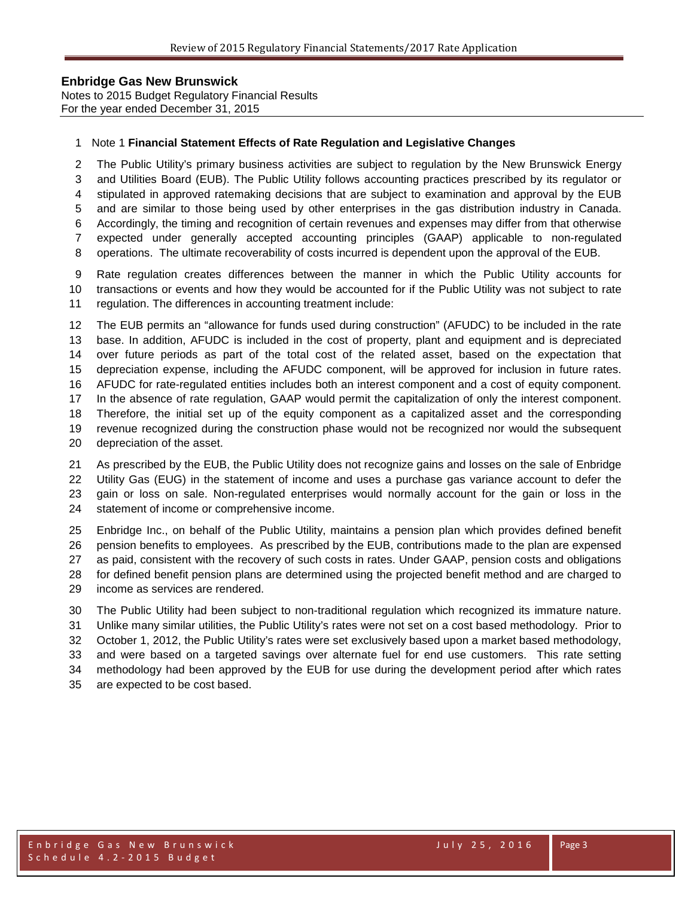Notes to 2015 Budget Regulatory Financial Results For the year ended December 31, 2015

#### Note 1 **Financial Statement Effects of Rate Regulation and Legislative Changes**

 The Public Utility's primary business activities are subject to regulation by the New Brunswick Energy and Utilities Board (EUB). The Public Utility follows accounting practices prescribed by its regulator or stipulated in approved ratemaking decisions that are subject to examination and approval by the EUB and are similar to those being used by other enterprises in the gas distribution industry in Canada. Accordingly, the timing and recognition of certain revenues and expenses may differ from that otherwise expected under generally accepted accounting principles (GAAP) applicable to non-regulated

operations. The ultimate recoverability of costs incurred is dependent upon the approval of the EUB.

 Rate regulation creates differences between the manner in which the Public Utility accounts for transactions or events and how they would be accounted for if the Public Utility was not subject to rate regulation. The differences in accounting treatment include:

 The EUB permits an "allowance for funds used during construction" (AFUDC) to be included in the rate base. In addition, AFUDC is included in the cost of property, plant and equipment and is depreciated over future periods as part of the total cost of the related asset, based on the expectation that depreciation expense, including the AFUDC component, will be approved for inclusion in future rates. AFUDC for rate-regulated entities includes both an interest component and a cost of equity component. In the absence of rate regulation, GAAP would permit the capitalization of only the interest component. Therefore, the initial set up of the equity component as a capitalized asset and the corresponding revenue recognized during the construction phase would not be recognized nor would the subsequent depreciation of the asset.

 As prescribed by the EUB, the Public Utility does not recognize gains and losses on the sale of Enbridge Utility Gas (EUG) in the statement of income and uses a purchase gas variance account to defer the gain or loss on sale. Non-regulated enterprises would normally account for the gain or loss in the statement of income or comprehensive income.

 Enbridge Inc., on behalf of the Public Utility, maintains a pension plan which provides defined benefit pension benefits to employees. As prescribed by the EUB, contributions made to the plan are expensed as paid, consistent with the recovery of such costs in rates. Under GAAP, pension costs and obligations for defined benefit pension plans are determined using the projected benefit method and are charged to income as services are rendered.

 The Public Utility had been subject to non-traditional regulation which recognized its immature nature. Unlike many similar utilities, the Public Utility's rates were not set on a cost based methodology. Prior to October 1, 2012, the Public Utility's rates were set exclusively based upon a market based methodology, and were based on a targeted savings over alternate fuel for end use customers. This rate setting methodology had been approved by the EUB for use during the development period after which rates are expected to be cost based.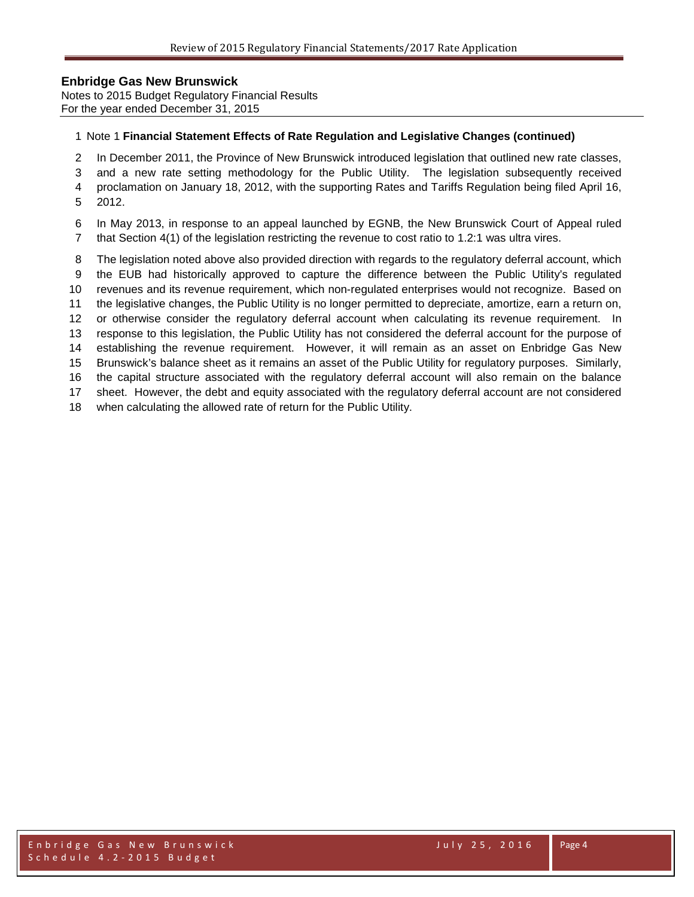Notes to 2015 Budget Regulatory Financial Results For the year ended December 31, 2015

#### Note 1 **Financial Statement Effects of Rate Regulation and Legislative Changes (continued)**

- In December 2011, the Province of New Brunswick introduced legislation that outlined new rate classes,
- and a new rate setting methodology for the Public Utility. The legislation subsequently received
- proclamation on January 18, 2012, with the supporting Rates and Tariffs Regulation being filed April 16,
- 2012.
- In May 2013, in response to an appeal launched by EGNB, the New Brunswick Court of Appeal ruled that Section 4(1) of the legislation restricting the revenue to cost ratio to 1.2:1 was ultra vires.
- The legislation noted above also provided direction with regards to the regulatory deferral account, which
- the EUB had historically approved to capture the difference between the Public Utility's regulated
- revenues and its revenue requirement, which non-regulated enterprises would not recognize. Based on
- the legislative changes, the Public Utility is no longer permitted to depreciate, amortize, earn a return on,
- or otherwise consider the regulatory deferral account when calculating its revenue requirement. In
- response to this legislation, the Public Utility has not considered the deferral account for the purpose of establishing the revenue requirement. However, it will remain as an asset on Enbridge Gas New
- Brunswick's balance sheet as it remains an asset of the Public Utility for regulatory purposes. Similarly,
- the capital structure associated with the regulatory deferral account will also remain on the balance
- sheet. However, the debt and equity associated with the regulatory deferral account are not considered
- when calculating the allowed rate of return for the Public Utility.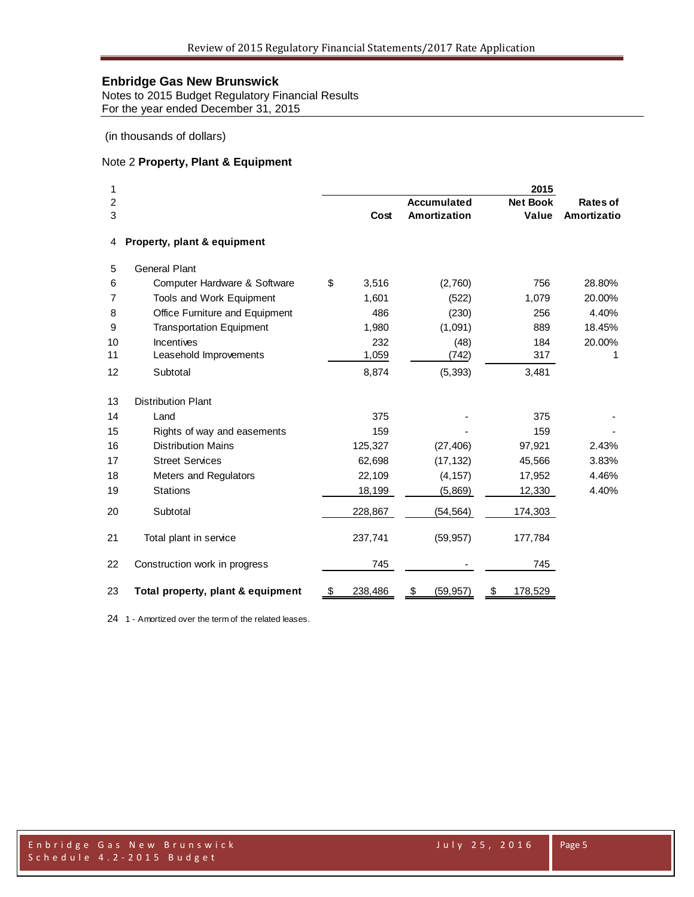Notes to 2015 Budget Regulatory Financial Results For the year ended December 31, 2015

(in thousands of dollars)

## Note 2 **Property, Plant & Equipment**

| 1              |                                   |               |                    | 2015            |             |
|----------------|-----------------------------------|---------------|--------------------|-----------------|-------------|
| $\overline{c}$ |                                   |               | <b>Accumulated</b> | <b>Net Book</b> | Rates of    |
| 3              |                                   | Cost          | Amortization       | Value           | Amortizatio |
| 4              | Property, plant & equipment       |               |                    |                 |             |
| 5              | <b>General Plant</b>              |               |                    |                 |             |
| 6              | Computer Hardware & Software      | \$<br>3,516   | (2,760)            | 756             | 28.80%      |
| 7              | Tools and Work Equipment          | 1,601         | (522)              | 1,079           | 20.00%      |
| 8              | Office Furniture and Equipment    | 486           | (230)              | 256             | 4.40%       |
| 9              | <b>Transportation Equipment</b>   | 1,980         | (1,091)            | 889             | 18.45%      |
| 10             | Incentives                        | 232           | (48)               | 184             | 20.00%      |
| 11             | Leasehold Improvements            | 1,059         | (742)              | 317             | 1           |
| 12             | Subtotal                          | 8,874         | (5, 393)           | 3,481           |             |
| 13             | <b>Distribution Plant</b>         |               |                    |                 |             |
| 14             | Land                              | 375           |                    | 375             |             |
| 15             | Rights of way and easements       | 159           |                    | 159             |             |
| 16             | <b>Distribution Mains</b>         | 125,327       | (27, 406)          | 97,921          | 2.43%       |
| 17             | <b>Street Services</b>            | 62,698        | (17, 132)          | 45,566          | 3.83%       |
| 18             | Meters and Regulators             | 22,109        | (4, 157)           | 17,952          | 4.46%       |
| 19             | <b>Stations</b>                   | 18,199        | (5,869)            | 12,330          | 4.40%       |
| 20             | Subtotal                          | 228,867       | (54, 564)          | 174,303         |             |
| 21             | Total plant in service            | 237,741       | (59, 957)          | 177,784         |             |
| 22             | Construction work in progress     | 745           |                    | 745             |             |
| 23             | Total property, plant & equipment | \$<br>238,486 | \$<br>(59, 957)    | \$<br>178,529   |             |

1 - Amortized over the term of the related leases.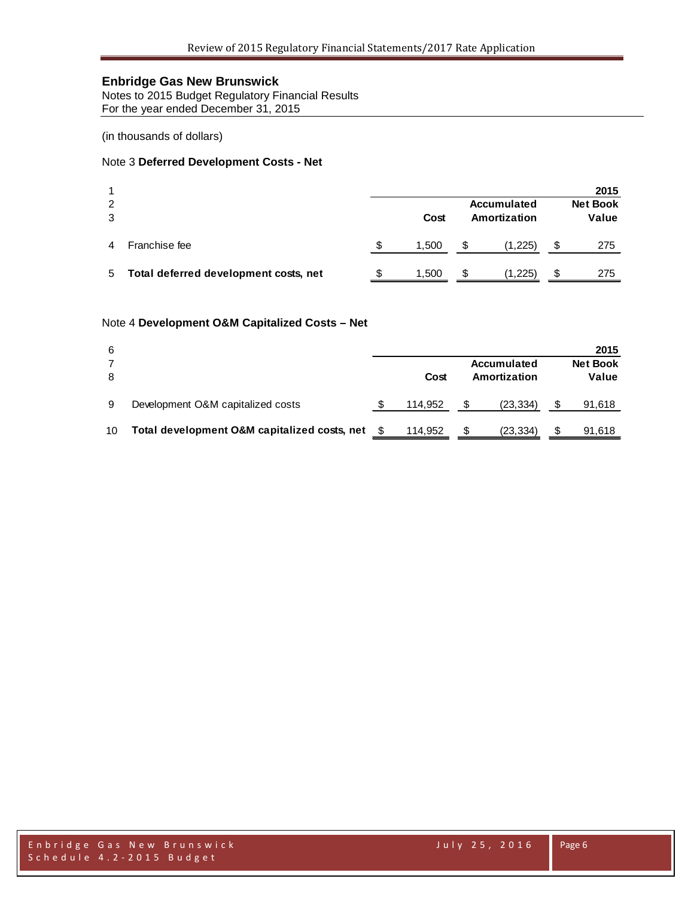Notes to 2015 Budget Regulatory Financial Results For the year ended December 31, 2015

(in thousands of dollars)

### Note 3 **Deferred Development Costs - Net**

|               |                                       |   |       |    |              |    | 2015            |
|---------------|---------------------------------------|---|-------|----|--------------|----|-----------------|
| $\mathcal{P}$ |                                       |   |       |    | Accumulated  |    | <b>Net Book</b> |
| 3             |                                       |   | Cost  |    | Amortization |    | Value           |
| 4             | Franchise fee                         | S | 1,500 | \$ | (1,225)      | \$ | 275             |
| 5             | Total deferred development costs, net | S | 1,500 | \$ | (1,225)      | S  | 275             |
|               |                                       |   |       |    |              |    |                 |

#### Note 4 **Development O&M Capitalized Costs – Net**

| 6  |                                              |         |   |                             |   | 2015                     |
|----|----------------------------------------------|---------|---|-----------------------------|---|--------------------------|
| 8  |                                              | Cost    |   | Accumulated<br>Amortization |   | <b>Net Book</b><br>Value |
| 9  | Development O&M capitalized costs            | 114.952 |   | (23, 334)                   |   | 91,618                   |
| 10 | Total development O&M capitalized costs, net | 114.952 | S | (23, 334)                   | S | 91,618                   |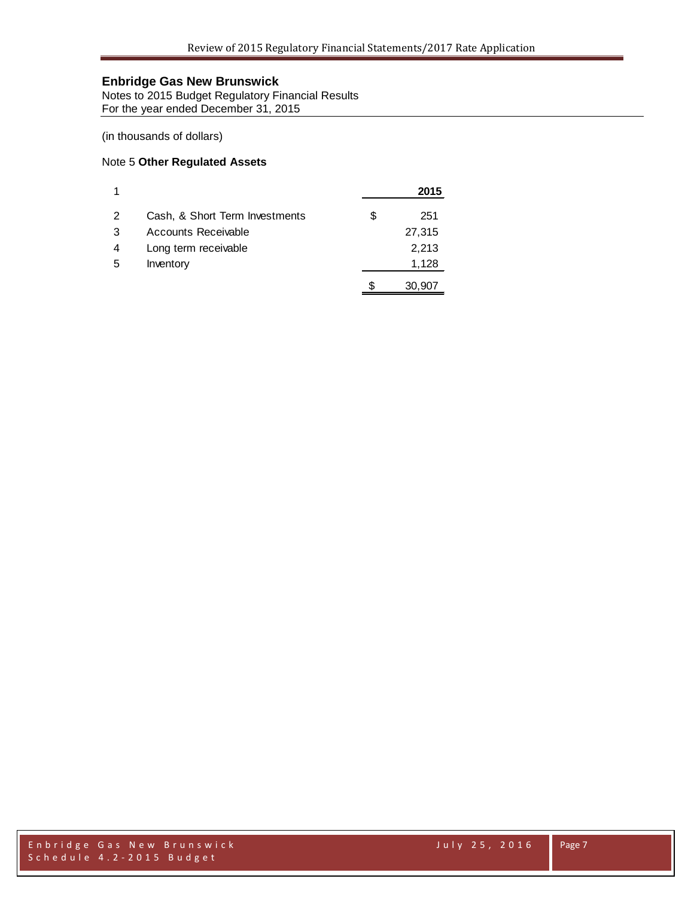Notes to 2015 Budget Regulatory Financial Results For the year ended December 31, 2015

(in thousands of dollars)

### Note 5 **Other Regulated Assets**

|   |                                |   | 2015   |
|---|--------------------------------|---|--------|
| 2 | Cash, & Short Term Investments | S | 251    |
| 3 | Accounts Receivable            |   | 27,315 |
| 4 | Long term receivable           |   | 2,213  |
| 5 | Inventory                      |   | 1,128  |
|   |                                |   | 30,907 |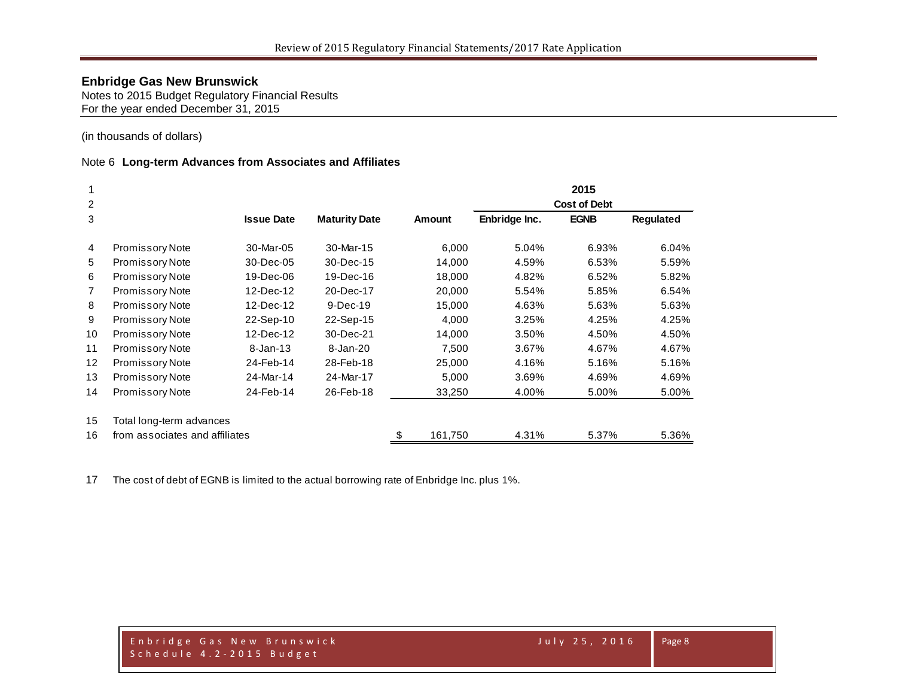Notes to 2015 Budget Regulatory Financial Results For the year ended December 31, 2015

(in thousands of dollars)

#### Note 6 **Long-term Advances from Associates and Affiliates**

|                   |                                |                   |                      |               |                     | 2015        |                  |  |  |
|-------------------|--------------------------------|-------------------|----------------------|---------------|---------------------|-------------|------------------|--|--|
| 2                 |                                |                   |                      |               | <b>Cost of Debt</b> |             |                  |  |  |
| 3                 |                                | <b>Issue Date</b> | <b>Maturity Date</b> | <b>Amount</b> | Enbridge Inc.       | <b>EGNB</b> | <b>Regulated</b> |  |  |
| $\overline{4}$    | <b>Promissory Note</b>         | 30-Mar-05         | 30-Mar-15            | 6,000         | 5.04%               | 6.93%       | 6.04%            |  |  |
| 5                 | <b>Promissory Note</b>         | 30-Dec-05         | 30-Dec-15            | 14,000        | 4.59%               | 6.53%       | 5.59%            |  |  |
| 6                 | <b>Promissory Note</b>         | 19-Dec-06         | 19-Dec-16            | 18,000        | 4.82%               | 6.52%       | 5.82%            |  |  |
| $\overline{7}$    | <b>Promissory Note</b>         | 12-Dec-12         | 20-Dec-17            | 20,000        | 5.54%               | 5.85%       | 6.54%            |  |  |
| 8                 | <b>Promissory Note</b>         | 12-Dec-12         | $9-Dec-19$           | 15,000        | 4.63%               | 5.63%       | 5.63%            |  |  |
| 9                 | Promissory Note                | 22-Sep-10         | 22-Sep-15            | 4,000         | 3.25%               | 4.25%       | 4.25%            |  |  |
| 10                | Promissory Note                | 12-Dec-12         | 30-Dec-21            | 14,000        | 3.50%               | 4.50%       | 4.50%            |  |  |
| 11                | Promissory Note                | $8 - Jan-13$      | 8-Jan-20             | 7,500         | 3.67%               | 4.67%       | 4.67%            |  |  |
| $12 \overline{ }$ | Promissory Note                | 24-Feb-14         | 28-Feb-18            | 25,000        | 4.16%               | 5.16%       | 5.16%            |  |  |
| 13                | <b>Promissory Note</b>         | 24-Mar-14         | 24-Mar-17            | 5,000         | 3.69%               | 4.69%       | 4.69%            |  |  |
| 14                | <b>Promissory Note</b>         | 24-Feb-14         | 26-Feb-18            | 33,250        | 4.00%               | 5.00%       | 5.00%            |  |  |
| 15                | Total long-term advances       |                   |                      |               |                     |             |                  |  |  |
| 16                | from associates and affiliates |                   |                      | \$<br>161,750 | 4.31%               | 5.37%       | 5.36%            |  |  |

The cost of debt of EGNB is limited to the actual borrowing rate of Enbridge Inc. plus 1%.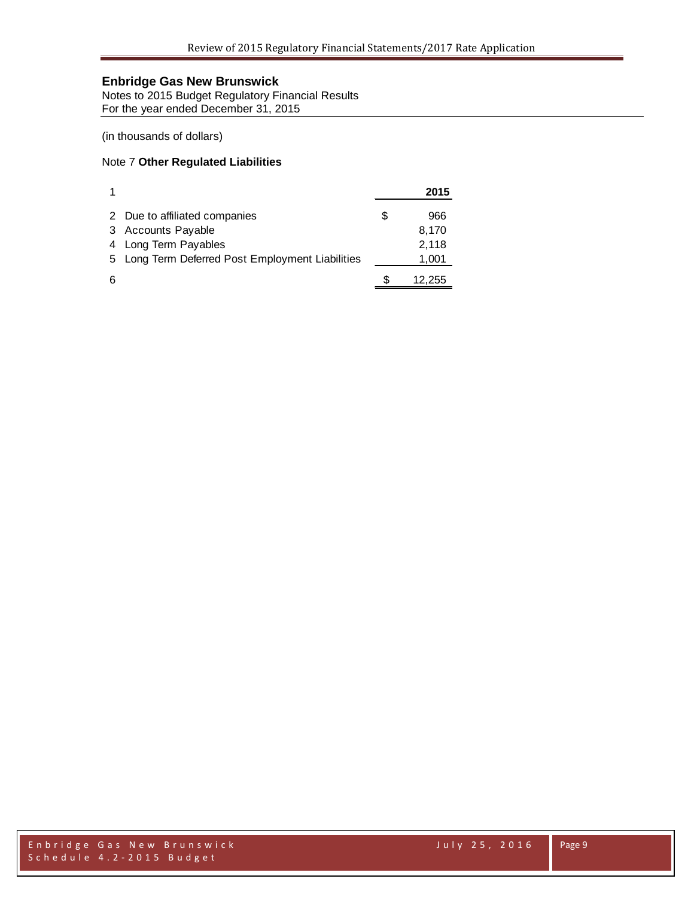Notes to 2015 Budget Regulatory Financial Results For the year ended December 31, 2015

(in thousands of dollars)

### Note 7 **Other Regulated Liabilities**

|   |                                                  |   | 2015   |
|---|--------------------------------------------------|---|--------|
|   | 2 Due to affiliated companies                    | S | 966    |
|   | 3 Accounts Payable                               |   | 8,170  |
|   | 4 Long Term Payables                             |   | 2,118  |
|   | 5 Long Term Deferred Post Employment Liabilities |   | 1,001  |
| 6 |                                                  |   | 12,255 |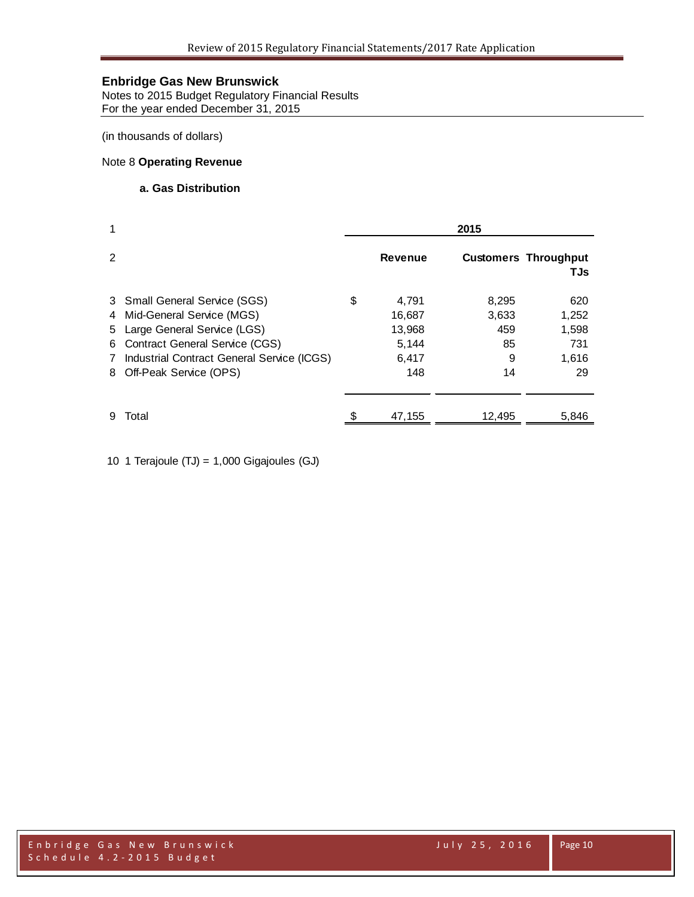Notes to 2015 Budget Regulatory Financial Results For the year ended December 31, 2015

(in thousands of dollars)

## Note 8 **Operating Revenue**

## **a. Gas Distribution**

| 1                 |                                                                                                                                                                                                                  | 2015 |                                                    |                                        |                                             |  |
|-------------------|------------------------------------------------------------------------------------------------------------------------------------------------------------------------------------------------------------------|------|----------------------------------------------------|----------------------------------------|---------------------------------------------|--|
| 2                 |                                                                                                                                                                                                                  |      | <b>Revenue</b>                                     |                                        | <b>Customers Throughput</b><br><b>TJs</b>   |  |
| 6.<br>$7^{\circ}$ | 3 Small General Service (SGS)<br>4 Mid-General Service (MGS)<br>5 Large General Service (LGS)<br><b>Contract General Service (CGS)</b><br>Industrial Contract General Service (ICGS)<br>8 Off-Peak Service (OPS) | \$   | 4,791<br>16,687<br>13,968<br>5,144<br>6,417<br>148 | 8,295<br>3,633<br>459<br>85<br>9<br>14 | 620<br>1,252<br>1,598<br>731<br>1,616<br>29 |  |
| 9                 | Total                                                                                                                                                                                                            |      | 47,155                                             | 12,495                                 | 5,846                                       |  |

10 1 Terajoule (TJ) = 1,000 Gigajoules (GJ)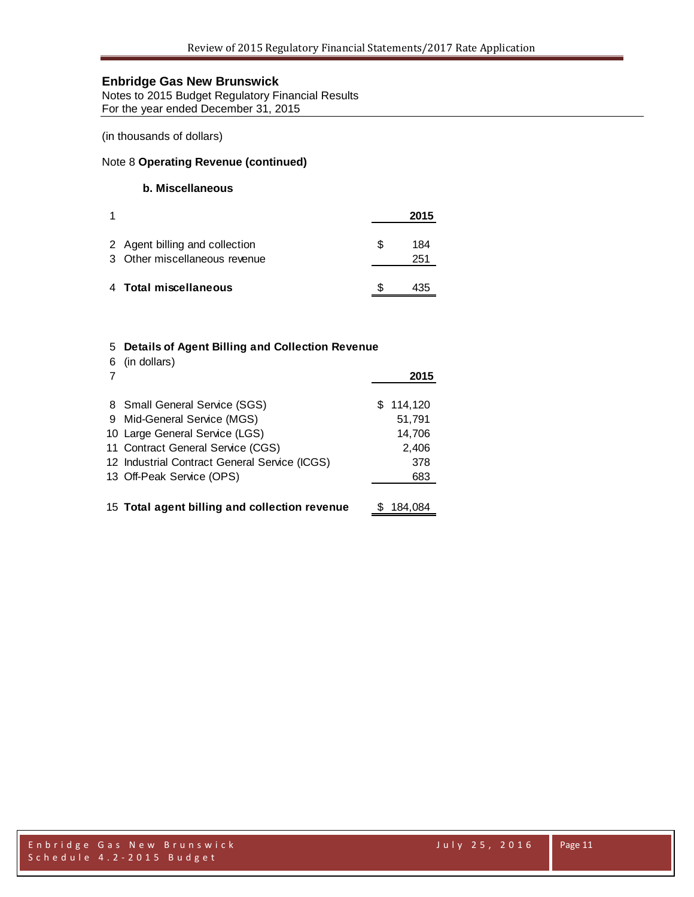Notes to 2015 Budget Regulatory Financial Results For the year ended December 31, 2015

(in thousands of dollars)

#### Note 8 **Operating Revenue (continued)**

#### **b. Miscellaneous**

|                                                                 |     | 2015       |
|-----------------------------------------------------------------|-----|------------|
| 2 Agent billing and collection<br>3 Other miscellaneous revenue | \$. | 184<br>251 |
| 4 Total miscellaneous                                           |     |            |

#### 5 **Details of Agent Billing and Collection Revenue** 6 (in dollars)

| o (in dollars)                                |   |         |
|-----------------------------------------------|---|---------|
|                                               |   | 2015    |
| 8 Small General Service (SGS)                 | S | 114,120 |
| 9 Mid-General Service (MGS)                   |   | 51,791  |
| 10 Large General Service (LGS)                |   | 14,706  |
| 11 Contract General Service (CGS)             |   | 2,406   |
| 12 Industrial Contract General Service (ICGS) |   | 378     |
| 13 Off-Peak Service (OPS)                     |   | 683     |
|                                               |   |         |
| 15 Total agent billing and collection revenue |   | 184.084 |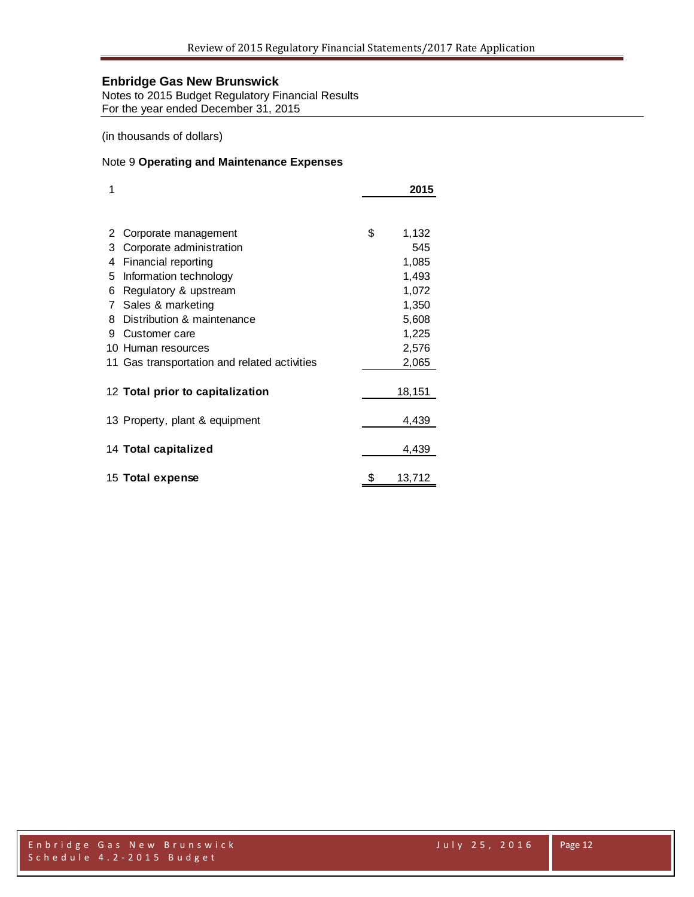Notes to 2015 Budget Regulatory Financial Results For the year ended December 31, 2015

(in thousands of dollars)

### Note 9 **Operating and Maintenance Expenses**

| 1 |                                              | 2015         |
|---|----------------------------------------------|--------------|
|   |                                              |              |
| 2 | Corporate management                         | \$<br>1,132  |
| 3 | Corporate administration                     | 545          |
| 4 | Financial reporting                          | 1,085        |
| 5 | Information technology                       | 1,493        |
| 6 | Regulatory & upstream                        | 1,072        |
| 7 | Sales & marketing                            | 1,350        |
| 8 | Distribution & maintenance                   | 5,608        |
| 9 | Customer care                                | 1,225        |
|   | 10 Human resources                           | 2,576        |
|   | 11 Gas transportation and related activities | 2,065        |
|   | 12 Total prior to capitalization             | 18,151       |
|   | 13 Property, plant & equipment               | 4,439        |
|   | 14 Total capitalized                         | 4,439        |
|   | 15 Total expense                             | \$<br>13,712 |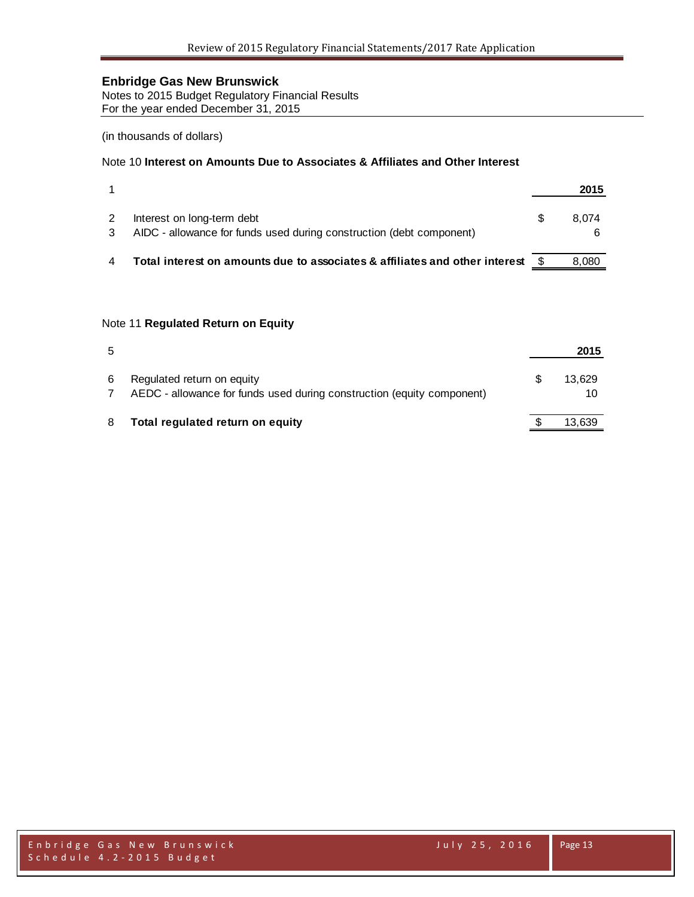Notes to 2015 Budget Regulatory Financial Results For the year ended December 31, 2015

#### (in thousands of dollars)

## Note 10 **Interest on Amounts Due to Associates & Affiliates and Other Interest**

|                                                                                                    | 2015  |
|----------------------------------------------------------------------------------------------------|-------|
| Interest on long-term debt<br>AIDC - allowance for funds used during construction (debt component) | 8.074 |
| Total interest on amounts due to associates & affiliates and other interest $$$                    | 8.080 |

#### Note 11 **Regulated Return on Equity**

| 5 |                                                                                                      | 2015         |
|---|------------------------------------------------------------------------------------------------------|--------------|
| 6 | Regulated return on equity<br>AEDC - allowance for funds used during construction (equity component) | 13.629<br>10 |
| 8 | Total regulated return on equity                                                                     | 13,639       |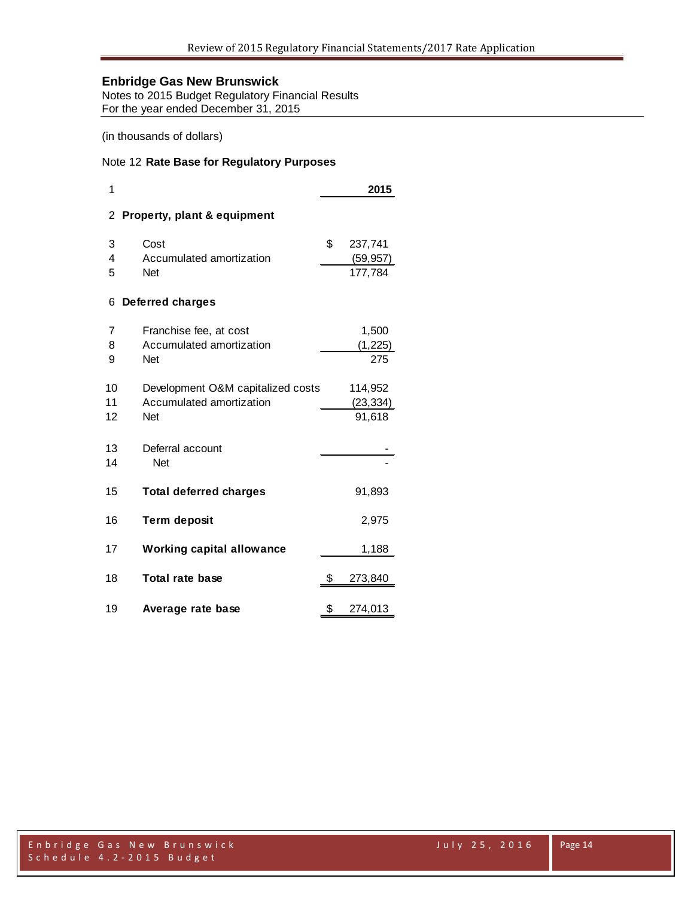Notes to 2015 Budget Regulatory Financial Results For the year ended December 31, 2015

(in thousands of dollars)

### Note 12 **Rate Base for Regulatory Purposes**

| 1        |                                   | 2015          |
|----------|-----------------------------------|---------------|
| 2        | Property, plant & equipment       |               |
| 3        | Cost                              | \$<br>237,741 |
| 4        | Accumulated amortization          | (59, 957)     |
| 5        | <b>Net</b>                        | 177,784       |
| 6        | <b>Deferred charges</b>           |               |
| 7        | Franchise fee, at cost            | 1,500         |
| 8        | Accumulated amortization          | (1, 225)      |
| 9        | <b>Net</b>                        | 275           |
| 10       | Development O&M capitalized costs | 114,952       |
| 11       | Accumulated amortization          | (23, 334)     |
| 12       | <b>Net</b>                        | 91,618        |
| 13<br>14 | Deferral account<br><b>Net</b>    |               |
| 15       | <b>Total deferred charges</b>     | 91,893        |
| 16       | <b>Term deposit</b>               | 2,975         |
| 17       | <b>Working capital allowance</b>  | 1,188         |
| 18       | <b>Total rate base</b>            | \$<br>273,840 |
| 19       | Average rate base                 | \$<br>274,013 |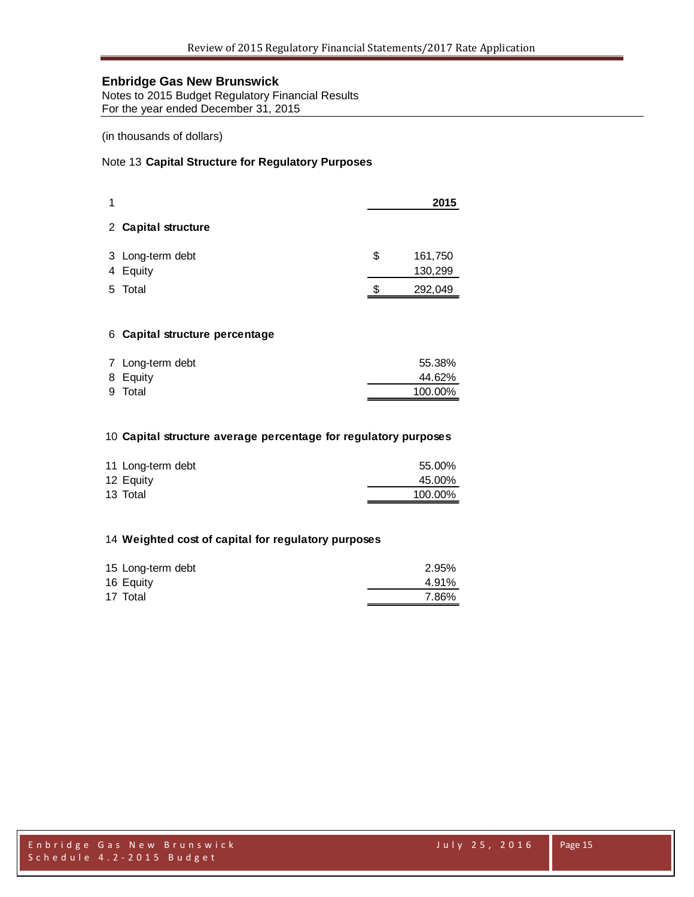Notes to 2015 Budget Regulatory Financial Results For the year ended December 31, 2015

(in thousands of dollars)

## Note 13 **Capital Structure for Regulatory Purposes**

|   |                              |    | 2015               |
|---|------------------------------|----|--------------------|
|   | 2 Capital structure          |    |                    |
|   | 3 Long-term debt<br>4 Equity | \$ | 161,750<br>130,299 |
| 5 | Total                        | S  | 292,049            |

#### **Capital structure percentage**

| 7 Long-term debt | 55.38%  |
|------------------|---------|
| 8 Equity         | 44.62%  |
| 9 Total          | 100.00% |

#### **Capital structure average percentage for regulatory purposes**

| 11 Long-term debt | 55.00%  |
|-------------------|---------|
| 12 Equity         | 45.00%  |
| 13 Total          | 100.00% |

### **Weighted cost of capital for regulatory purposes**

| 15 Long-term debt | 2.95% |
|-------------------|-------|
| 16 Equity         | 4.91% |
| 17 Total          | 7.86% |